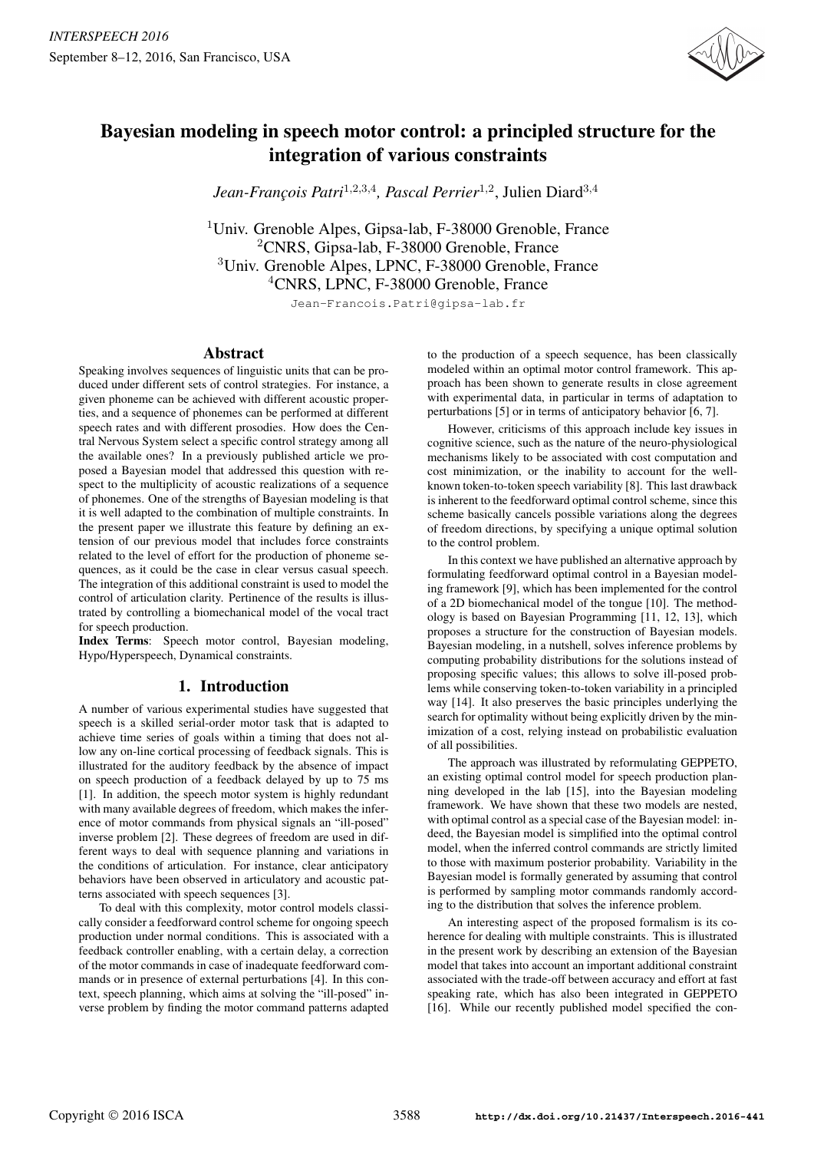

# Bayesian modeling in speech motor control: a principled structure for the integration of various constraints

Jean-François Patri<sup>1,2,3,4</sup>, Pascal Perrier<sup>1,2</sup>, Julien Diard<sup>3,4</sup>

<sup>1</sup>Univ. Grenoble Alpes, Gipsa-lab, F-38000 Grenoble, France <sup>2</sup>CNRS, Gipsa-lab, F-38000 Grenoble, France <sup>3</sup>Univ. Grenoble Alpes, LPNC, F-38000 Grenoble, France <sup>4</sup>CNRS, LPNC, F-38000 Grenoble, France

Jean-Francois.Patri@gipsa-lab.fr

## Abstract

Speaking involves sequences of linguistic units that can be produced under different sets of control strategies. For instance, a given phoneme can be achieved with different acoustic properties, and a sequence of phonemes can be performed at different speech rates and with different prosodies. How does the Central Nervous System select a specific control strategy among all the available ones? In a previously published article we proposed a Bayesian model that addressed this question with respect to the multiplicity of acoustic realizations of a sequence of phonemes. One of the strengths of Bayesian modeling is that it is well adapted to the combination of multiple constraints. In the present paper we illustrate this feature by defining an extension of our previous model that includes force constraints related to the level of effort for the production of phoneme sequences, as it could be the case in clear versus casual speech. The integration of this additional constraint is used to model the control of articulation clarity. Pertinence of the results is illustrated by controlling a biomechanical model of the vocal tract for speech production.

Index Terms: Speech motor control, Bayesian modeling, Hypo/Hyperspeech, Dynamical constraints.

# 1. Introduction

A number of various experimental studies have suggested that speech is a skilled serial-order motor task that is adapted to achieve time series of goals within a timing that does not allow any on-line cortical processing of feedback signals. This is illustrated for the auditory feedback by the absence of impact on speech production of a feedback delayed by up to 75 ms [1]. In addition, the speech motor system is highly redundant with many available degrees of freedom, which makes the inference of motor commands from physical signals an "ill-posed" inverse problem [2]. These degrees of freedom are used in different ways to deal with sequence planning and variations in the conditions of articulation. For instance, clear anticipatory behaviors have been observed in articulatory and acoustic patterns associated with speech sequences [3].

To deal with this complexity, motor control models classically consider a feedforward control scheme for ongoing speech production under normal conditions. This is associated with a feedback controller enabling, with a certain delay, a correction of the motor commands in case of inadequate feedforward commands or in presence of external perturbations [4]. In this context, speech planning, which aims at solving the "ill-posed" inverse problem by finding the motor command patterns adapted to the production of a speech sequence, has been classically modeled within an optimal motor control framework. This approach has been shown to generate results in close agreement with experimental data, in particular in terms of adaptation to perturbations [5] or in terms of anticipatory behavior [6, 7].

However, criticisms of this approach include key issues in cognitive science, such as the nature of the neuro-physiological mechanisms likely to be associated with cost computation and cost minimization, or the inability to account for the wellknown token-to-token speech variability [8]. This last drawback is inherent to the feedforward optimal control scheme, since this scheme basically cancels possible variations along the degrees of freedom directions, by specifying a unique optimal solution to the control problem.

In this context we have published an alternative approach by formulating feedforward optimal control in a Bayesian modeling framework [9], which has been implemented for the control of a 2D biomechanical model of the tongue [10]. The methodology is based on Bayesian Programming [11, 12, 13], which proposes a structure for the construction of Bayesian models. Bayesian modeling, in a nutshell, solves inference problems by computing probability distributions for the solutions instead of proposing specific values; this allows to solve ill-posed problems while conserving token-to-token variability in a principled way [14]. It also preserves the basic principles underlying the search for optimality without being explicitly driven by the minimization of a cost, relying instead on probabilistic evaluation of all possibilities.

The approach was illustrated by reformulating GEPPETO, an existing optimal control model for speech production planning developed in the lab [15], into the Bayesian modeling framework. We have shown that these two models are nested, with optimal control as a special case of the Bayesian model: indeed, the Bayesian model is simplified into the optimal control model, when the inferred control commands are strictly limited to those with maximum posterior probability. Variability in the Bayesian model is formally generated by assuming that control is performed by sampling motor commands randomly according to the distribution that solves the inference problem.

An interesting aspect of the proposed formalism is its coherence for dealing with multiple constraints. This is illustrated in the present work by describing an extension of the Bayesian model that takes into account an important additional constraint associated with the trade-off between accuracy and effort at fast speaking rate, which has also been integrated in GEPPETO [16]. While our recently published model specified the con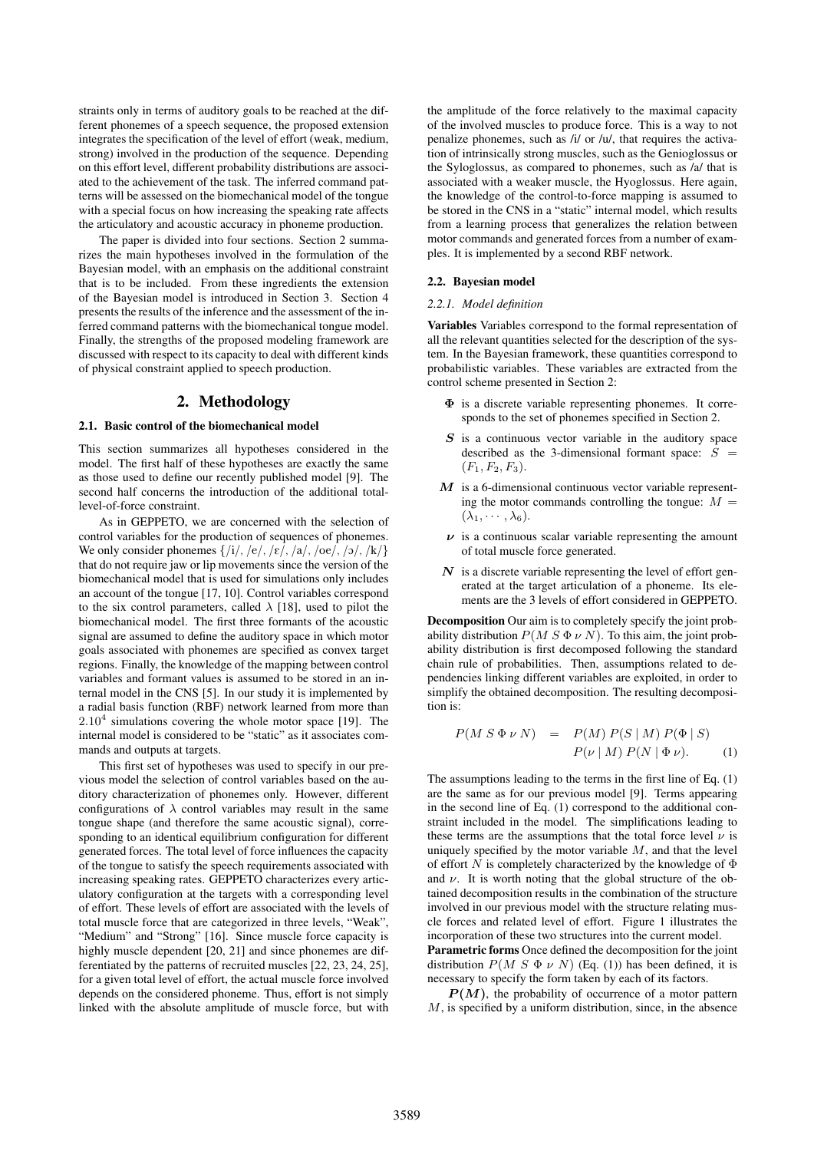straints only in terms of auditory goals to be reached at the different phonemes of a speech sequence, the proposed extension integrates the specification of the level of effort (weak, medium, strong) involved in the production of the sequence. Depending on this effort level, different probability distributions are associated to the achievement of the task. The inferred command patterns will be assessed on the biomechanical model of the tongue with a special focus on how increasing the speaking rate affects the articulatory and acoustic accuracy in phoneme production.

The paper is divided into four sections. Section 2 summarizes the main hypotheses involved in the formulation of the Bayesian model, with an emphasis on the additional constraint that is to be included. From these ingredients the extension of the Bayesian model is introduced in Section 3. Section 4 presents the results of the inference and the assessment of the inferred command patterns with the biomechanical tongue model. Finally, the strengths of the proposed modeling framework are discussed with respect to its capacity to deal with different kinds of physical constraint applied to speech production.

## 2. Methodology

#### 2.1. Basic control of the biomechanical model

This section summarizes all hypotheses considered in the model. The first half of these hypotheses are exactly the same as those used to define our recently published model [9]. The second half concerns the introduction of the additional totallevel-of-force constraint.

As in GEPPETO, we are concerned with the selection of control variables for the production of sequences of phonemes. We only consider phonemes  $\{|i|, |e|, |e|, |a|, |oe|, |o|, |k|\}$ that do not require jaw or lip movements since the version of the biomechanical model that is used for simulations only includes an account of the tongue [17, 10]. Control variables correspond to the six control parameters, called  $\lambda$  [18], used to pilot the biomechanical model. The first three formants of the acoustic signal are assumed to define the auditory space in which motor goals associated with phonemes are specified as convex target regions. Finally, the knowledge of the mapping between control variables and formant values is assumed to be stored in an internal model in the CNS [5]. In our study it is implemented by a radial basis function (RBF) network learned from more than  $2.10<sup>4</sup>$  simulations covering the whole motor space [19]. The internal model is considered to be "static" as it associates commands and outputs at targets.

This first set of hypotheses was used to specify in our previous model the selection of control variables based on the auditory characterization of phonemes only. However, different configurations of  $\lambda$  control variables may result in the same tongue shape (and therefore the same acoustic signal), corresponding to an identical equilibrium configuration for different generated forces. The total level of force influences the capacity of the tongue to satisfy the speech requirements associated with increasing speaking rates. GEPPETO characterizes every articulatory configuration at the targets with a corresponding level of effort. These levels of effort are associated with the levels of total muscle force that are categorized in three levels, "Weak", "Medium" and "Strong" [16]. Since muscle force capacity is highly muscle dependent [20, 21] and since phonemes are differentiated by the patterns of recruited muscles [22, 23, 24, 25], for a given total level of effort, the actual muscle force involved depends on the considered phoneme. Thus, effort is not simply linked with the absolute amplitude of muscle force, but with the amplitude of the force relatively to the maximal capacity of the involved muscles to produce force. This is a way to not penalize phonemes, such as /i/ or /u/, that requires the activation of intrinsically strong muscles, such as the Genioglossus or the Syloglossus, as compared to phonemes, such as /a/ that is associated with a weaker muscle, the Hyoglossus. Here again, the knowledge of the control-to-force mapping is assumed to be stored in the CNS in a "static" internal model, which results from a learning process that generalizes the relation between motor commands and generated forces from a number of examples. It is implemented by a second RBF network.

## 2.2. Bayesian model

#### *2.2.1. Model definition*

Variables Variables correspond to the formal representation of all the relevant quantities selected for the description of the system. In the Bayesian framework, these quantities correspond to probabilistic variables. These variables are extracted from the control scheme presented in Section 2:

- Φ is a discrete variable representing phonemes. It corresponds to the set of phonemes specified in Section 2.
- S is a continuous vector variable in the auditory space described as the 3-dimensional formant space:  $S =$  $(F_1, F_2, F_3).$
- $M$  is a 6-dimensional continuous vector variable representing the motor commands controlling the tongue:  $M =$  $(\lambda_1, \cdots, \lambda_6).$
- $\nu$  is a continuous scalar variable representing the amount of total muscle force generated.
- $N$  is a discrete variable representing the level of effort generated at the target articulation of a phoneme. Its elements are the 3 levels of effort considered in GEPPETO.

Decomposition Our aim is to completely specify the joint probability distribution  $P(M S \Phi \nu N)$ . To this aim, the joint probability distribution is first decomposed following the standard chain rule of probabilities. Then, assumptions related to dependencies linking different variables are exploited, in order to simplify the obtained decomposition. The resulting decomposition is:

$$
P(M S \Phi \nu N) = P(M) P(S | M) P(\Phi | S)
$$
  

$$
P(\nu | M) P(N | \Phi \nu).
$$
 (1)

The assumptions leading to the terms in the first line of Eq. (1) are the same as for our previous model [9]. Terms appearing in the second line of Eq. (1) correspond to the additional constraint included in the model. The simplifications leading to these terms are the assumptions that the total force level  $\nu$  is uniquely specified by the motor variable  $M$ , and that the level of effort N is completely characterized by the knowledge of  $\Phi$ and  $\nu$ . It is worth noting that the global structure of the obtained decomposition results in the combination of the structure involved in our previous model with the structure relating muscle forces and related level of effort. Figure 1 illustrates the incorporation of these two structures into the current model.

Parametric forms Once defined the decomposition for the joint distribution  $P(M S \Phi \nu N)$  (Eq. (1)) has been defined, it is necessary to specify the form taken by each of its factors.

 $P(M)$ , the probability of occurrence of a motor pattern M, is specified by a uniform distribution, since, in the absence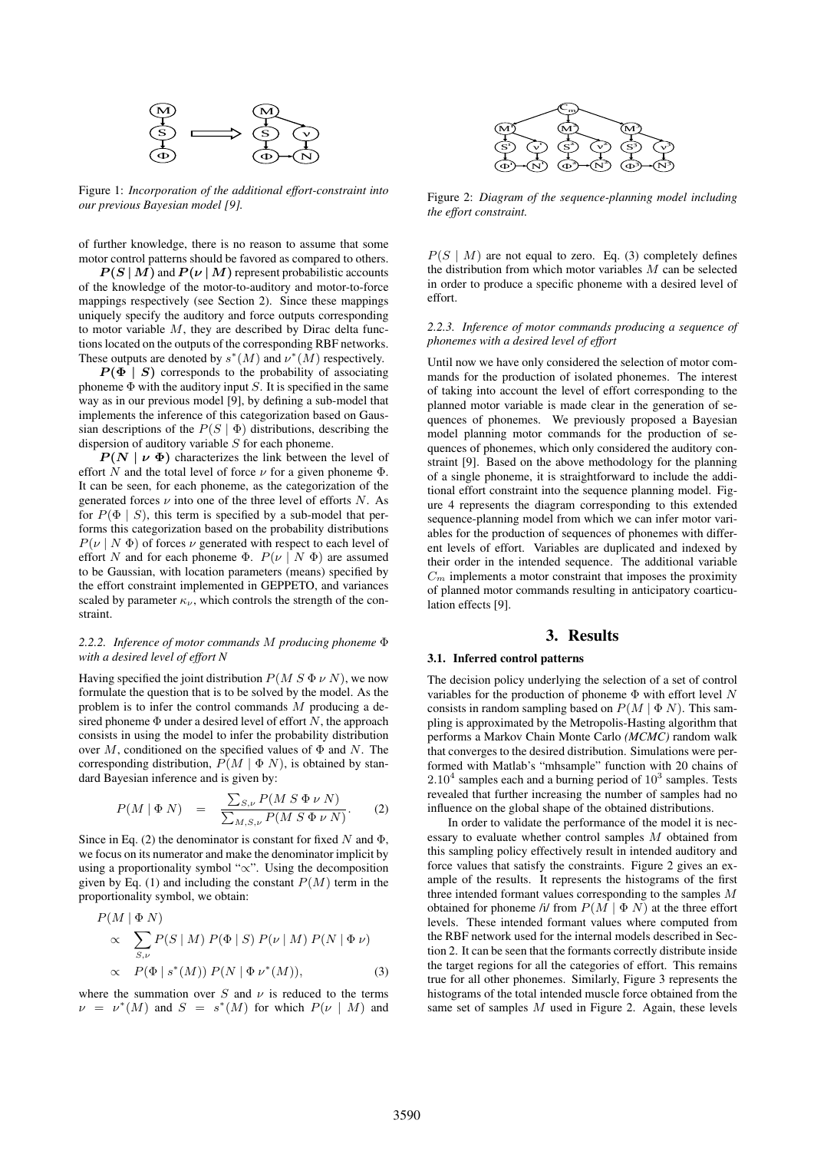

Figure 1: *Incorporation of the additional effort-constraint into our previous Bayesian model [9].*

of further knowledge, there is no reason to assume that some motor control patterns should be favored as compared to others.

 $P(S|M)$  and  $P(\nu|M)$  represent probabilistic accounts of the knowledge of the motor-to-auditory and motor-to-force mappings respectively (see Section 2). Since these mappings uniquely specify the auditory and force outputs corresponding to motor variable  $M$ , they are described by Dirac delta functions located on the outputs of the corresponding RBF networks. These outputs are denoted by  $s^*(M)$  and  $v^*(M)$  respectively.

 $P(\Phi \mid S)$  corresponds to the probability of associating phoneme  $\Phi$  with the auditory input S. It is specified in the same way as in our previous model [9], by defining a sub-model that implements the inference of this categorization based on Gaussian descriptions of the  $P(S | \Phi)$  distributions, describing the dispersion of auditory variable  $S$  for each phoneme.

 $P(N | \nu \Phi)$  characterizes the link between the level of effort N and the total level of force  $\nu$  for a given phoneme  $\Phi$ . It can be seen, for each phoneme, as the categorization of the generated forces  $\nu$  into one of the three level of efforts  $N$ . As for  $P(\Phi | S)$ , this term is specified by a sub-model that performs this categorization based on the probability distributions  $P(\nu \mid N \Phi)$  of forces  $\nu$  generated with respect to each level of effort N and for each phoneme Φ.  $P(\nu \mid N \Phi)$  are assumed to be Gaussian, with location parameters (means) specified by the effort constraint implemented in GEPPETO, and variances scaled by parameter  $\kappa_{\nu}$ , which controls the strength of the constraint.

#### *2.2.2. Inference of motor commands* M *producing phoneme* Φ *with a desired level of effort N*

Having specified the joint distribution  $P(M S \Phi \nu N)$ , we now formulate the question that is to be solved by the model. As the problem is to infer the control commands M producing a desired phoneme  $\Phi$  under a desired level of effort N, the approach consists in using the model to infer the probability distribution over M, conditioned on the specified values of  $\Phi$  and N. The corresponding distribution,  $P(M | \Phi N)$ , is obtained by standard Bayesian inference and is given by:

$$
P(M | \Phi N) = \frac{\sum_{S,\nu} P(M S \Phi \nu N)}{\sum_{M,S,\nu} P(M S \Phi \nu N)}.
$$
 (2)

Since in Eq. (2) the denominator is constant for fixed N and  $\Phi$ , we focus on its numerator and make the denominator implicit by using a proportionality symbol "∝". Using the decomposition given by Eq. (1) and including the constant  $P(M)$  term in the proportionality symbol, we obtain:

$$
P(M | \Phi N)
$$
  
\n
$$
\propto \sum_{S,\nu} P(S | M) P(\Phi | S) P(\nu | M) P(N | \Phi \nu)
$$
  
\n
$$
\propto P(\Phi | s^*(M)) P(N | \Phi \nu^*(M)),
$$
\n(3)

where the summation over S and  $\nu$  is reduced to the terms  $\nu = \nu^*(M)$  and  $S = s^*(M)$  for which  $P(\nu | M)$  and



Figure 2: *Diagram of the sequence-planning model including the effort constraint.*

 $P(S \mid M)$  are not equal to zero. Eq. (3) completely defines the distribution from which motor variables  $M$  can be selected in order to produce a specific phoneme with a desired level of effort.

#### *2.2.3. Inference of motor commands producing a sequence of phonemes with a desired level of effort*

Until now we have only considered the selection of motor commands for the production of isolated phonemes. The interest of taking into account the level of effort corresponding to the planned motor variable is made clear in the generation of sequences of phonemes. We previously proposed a Bayesian model planning motor commands for the production of sequences of phonemes, which only considered the auditory constraint [9]. Based on the above methodology for the planning of a single phoneme, it is straightforward to include the additional effort constraint into the sequence planning model. Figure 4 represents the diagram corresponding to this extended sequence-planning model from which we can infer motor variables for the production of sequences of phonemes with different levels of effort. Variables are duplicated and indexed by their order in the intended sequence. The additional variable  $C_m$  implements a motor constraint that imposes the proximity of planned motor commands resulting in anticipatory coarticulation effects [9].

#### 3. Results

#### 3.1. Inferred control patterns

The decision policy underlying the selection of a set of control variables for the production of phoneme  $\Phi$  with effort level N consists in random sampling based on  $P(M | \Phi N)$ . This sampling is approximated by the Metropolis-Hasting algorithm that performs a Markov Chain Monte Carlo *(MCMC)* random walk that converges to the desired distribution. Simulations were performed with Matlab's "mhsample" function with 20 chains of  $2.10<sup>4</sup>$  samples each and a burning period of  $10<sup>3</sup>$  samples. Tests revealed that further increasing the number of samples had no influence on the global shape of the obtained distributions.

In order to validate the performance of the model it is necessary to evaluate whether control samples M obtained from this sampling policy effectively result in intended auditory and force values that satisfy the constraints. Figure 2 gives an example of the results. It represents the histograms of the first three intended formant values corresponding to the samples M obtained for phoneme /i/ from  $P(M | \Phi N)$  at the three effort levels. These intended formant values where computed from the RBF network used for the internal models described in Section 2. It can be seen that the formants correctly distribute inside the target regions for all the categories of effort. This remains true for all other phonemes. Similarly, Figure 3 represents the histograms of the total intended muscle force obtained from the same set of samples M used in Figure 2. Again, these levels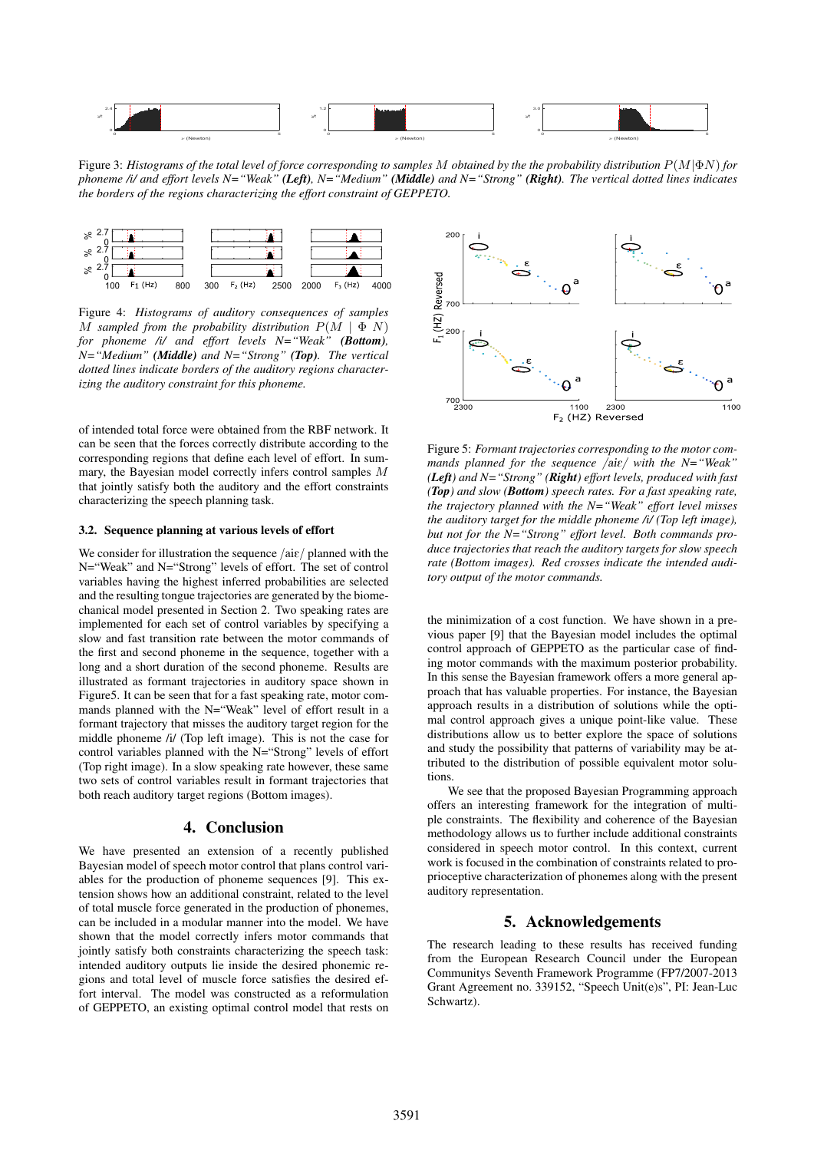

Figure 3: *Histograms of the total level of force corresponding to samples* M *obtained by the the probability distribution* P(M|ΦN) *for phoneme /i/ and effort levels N="Weak" (Left), N="Medium" (Middle) and N="Strong" (Right). The vertical dotted lines indicates the borders of the regions characterizing the effort constraint of GEPPETO.*



Figure 4: *Histograms of auditory consequences of samples* M sampled from the probability distribution  $P(M | \Phi N)$ *for phoneme /i/ and effort levels N="Weak" (Bottom), N="Medium" (Middle) and N="Strong" (Top). The vertical dotted lines indicate borders of the auditory regions characterizing the auditory constraint for this phoneme.*

of intended total force were obtained from the RBF network. It can be seen that the forces correctly distribute according to the corresponding regions that define each level of effort. In summary, the Bayesian model correctly infers control samples M that jointly satisfy both the auditory and the effort constraints characterizing the speech planning task.

### 3.2. Sequence planning at various levels of effort

We consider for illustration the sequence  $/ \text{aie}/$  planned with the N="Weak" and N="Strong" levels of effort. The set of control variables having the highest inferred probabilities are selected and the resulting tongue trajectories are generated by the biomechanical model presented in Section 2. Two speaking rates are implemented for each set of control variables by specifying a slow and fast transition rate between the motor commands of the first and second phoneme in the sequence, together with a long and a short duration of the second phoneme. Results are illustrated as formant trajectories in auditory space shown in Figure5. It can be seen that for a fast speaking rate, motor commands planned with the N="Weak" level of effort result in a formant trajectory that misses the auditory target region for the middle phoneme /i/ (Top left image). This is not the case for control variables planned with the N="Strong" levels of effort (Top right image). In a slow speaking rate however, these same two sets of control variables result in formant trajectories that both reach auditory target regions (Bottom images).

#### 4. Conclusion

We have presented an extension of a recently published Bayesian model of speech motor control that plans control variables for the production of phoneme sequences [9]. This extension shows how an additional constraint, related to the level of total muscle force generated in the production of phonemes, can be included in a modular manner into the model. We have shown that the model correctly infers motor commands that jointly satisfy both constraints characterizing the speech task: intended auditory outputs lie inside the desired phonemic regions and total level of muscle force satisfies the desired effort interval. The model was constructed as a reformulation of GEPPETO, an existing optimal control model that rests on



Figure 5: *Formant trajectories corresponding to the motor commands planned for the sequence /aiɛ/ with the N="Weak" (Left) and N="Strong" (Right) effort levels, produced with fast (Top) and slow (Bottom) speech rates. For a fast speaking rate, the trajectory planned with the N="Weak" effort level misses the auditory target for the middle phoneme /i/ (Top left image), but not for the N="Strong" effort level. Both commands produce trajectories that reach the auditory targets for slow speech rate (Bottom images). Red crosses indicate the intended auditory output of the motor commands.*

the minimization of a cost function. We have shown in a previous paper [9] that the Bayesian model includes the optimal control approach of GEPPETO as the particular case of finding motor commands with the maximum posterior probability. In this sense the Bayesian framework offers a more general approach that has valuable properties. For instance, the Bayesian approach results in a distribution of solutions while the optimal control approach gives a unique point-like value. These distributions allow us to better explore the space of solutions and study the possibility that patterns of variability may be attributed to the distribution of possible equivalent motor solutions.

We see that the proposed Bayesian Programming approach offers an interesting framework for the integration of multiple constraints. The flexibility and coherence of the Bayesian methodology allows us to further include additional constraints considered in speech motor control. In this context, current work is focused in the combination of constraints related to proprioceptive characterization of phonemes along with the present auditory representation.

## 5. Acknowledgements

The research leading to these results has received funding from the European Research Council under the European Communitys Seventh Framework Programme (FP7/2007-2013 Grant Agreement no. 339152, "Speech Unit(e)s", PI: Jean-Luc Schwartz).